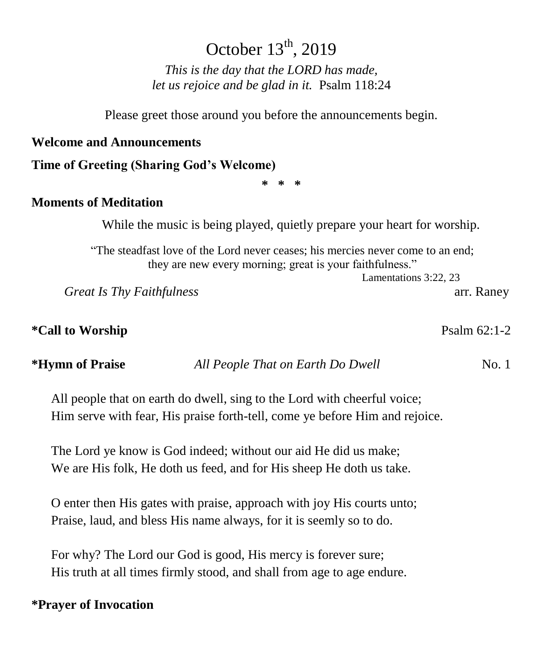## October  $13<sup>th</sup>$ , 2019

*This is the day that the LORD has made, let us rejoice and be glad in it.* Psalm 118:24

Please greet those around you before the announcements begin.

#### **Welcome and Announcements**

**Time of Greeting (Sharing God's Welcome)**

**\* \* \***

#### **Moments of Meditation**

While the music is being played, quietly prepare your heart for worship.

"The steadfast love of the Lord never ceases; his mercies never come to an end; they are new every morning; great is your faithfulness."

Lamentations 3:22, 23

*Great Is Thy Faithfulness* arr. Raney

**\*Call to Worship** Psalm 62:1-2

**\*Hymn of Praise** *All People That on Earth Do Dwell* No. 1

All people that on earth do dwell, sing to the Lord with cheerful voice; Him serve with fear, His praise forth-tell, come ye before Him and rejoice.

The Lord ye know is God indeed; without our aid He did us make; We are His folk, He doth us feed, and for His sheep He doth us take.

O enter then His gates with praise, approach with joy His courts unto; Praise, laud, and bless His name always, for it is seemly so to do.

For why? The Lord our God is good, His mercy is forever sure; His truth at all times firmly stood, and shall from age to age endure.

#### **\*Prayer of Invocation**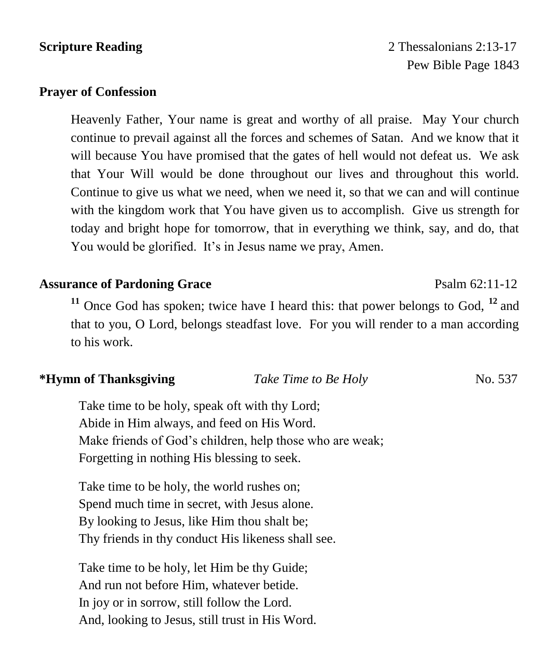## **Scripture Reading** 2:13-17 Pew Bible Page 1843

### **Prayer of Confession**

Heavenly Father, Your name is great and worthy of all praise. May Your church continue to prevail against all the forces and schemes of Satan. And we know that it will because You have promised that the gates of hell would not defeat us. We ask that Your Will would be done throughout our lives and throughout this world. Continue to give us what we need, when we need it, so that we can and will continue with the kingdom work that You have given us to accomplish. Give us strength for today and bright hope for tomorrow, that in everything we think, say, and do, that You would be glorified. It's in Jesus name we pray, Amen.

### **Assurance of Pardoning Grace** Psalm 62:11-12

**<sup>11</sup>** Once God has spoken; twice have I heard this: that power belongs to God, **<sup>12</sup>** and that to you, O Lord, belongs steadfast love. For you will render to a man according to his work.

### **\*Hymn of Thanksgiving** *Take Time to Be Holy* No. 537

Take time to be holy, speak oft with thy Lord; Abide in Him always, and feed on His Word. Make friends of God's children, help those who are weak; Forgetting in nothing His blessing to seek.

Take time to be holy, the world rushes on; Spend much time in secret, with Jesus alone. By looking to Jesus, like Him thou shalt be; Thy friends in thy conduct His likeness shall see.

Take time to be holy, let Him be thy Guide; And run not before Him, whatever betide. In joy or in sorrow, still follow the Lord. And, looking to Jesus, still trust in His Word.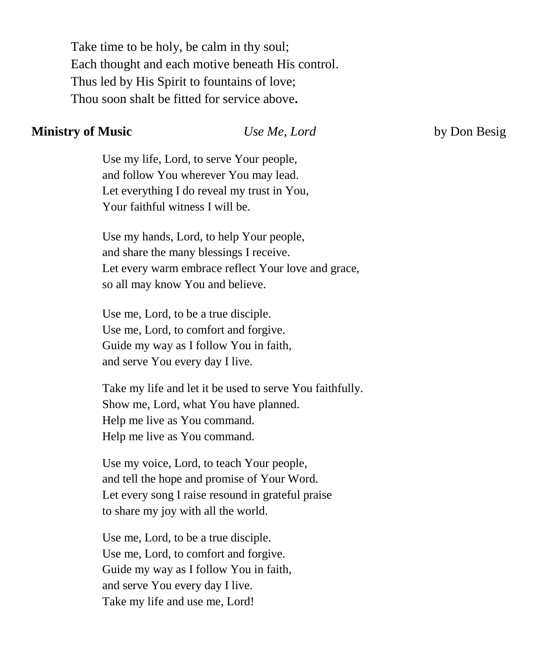Take time to be holy, be calm in thy soul; Each thought and each motive beneath His control. Thus led by His Spirit to fountains of love; Thou soon shalt be fitted for service above**.**

#### **Ministry of Music** *Use Me, Lord* by Don Besig

Use my life, Lord, to serve Your people, and follow You wherever You may lead. Let everything I do reveal my trust in You, Your faithful witness I will be.

Use my hands, Lord, to help Your people, and share the many blessings I receive. Let every warm embrace reflect Your love and grace, so all may know You and believe.

Use me, Lord, to be a true disciple. Use me, Lord, to comfort and forgive. Guide my way as I follow You in faith, and serve You every day I live.

Take my life and let it be used to serve You faithfully. Show me, Lord, what You have planned. Help me live as You command. Help me live as You command.

Use my voice, Lord, to teach Your people, and tell the hope and promise of Your Word. Let every song I raise resound in grateful praise to share my joy with all the world.

Use me, Lord, to be a true disciple. Use me, Lord, to comfort and forgive. Guide my way as I follow You in faith, and serve You every day I live. Take my life and use me, Lord!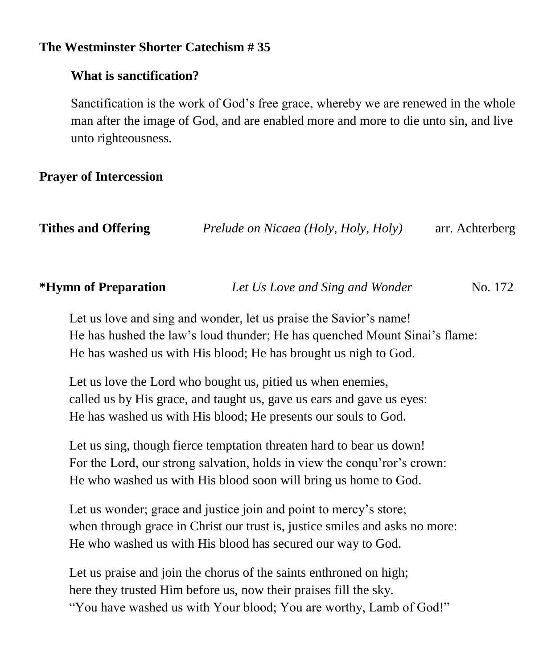### **The Westminster Shorter Catechism # 35**

#### **What is sanctification?**

Sanctification is the work of God's free grace, whereby we are renewed in the whole man after the image of God, and are enabled more and more to die unto sin, and live unto righteousness.

### **Prayer of Intercession**

| <b>Tithes and Offering</b> | Prelude on Nicaea (Holy, Holy, Holy) | arr. Achterberg |
|----------------------------|--------------------------------------|-----------------|
|----------------------------|--------------------------------------|-----------------|

| <i><b>*Hymn of Preparation</b></i> | Let Us Love and Sing and Wonder | No. 172 |
|------------------------------------|---------------------------------|---------|
|                                    |                                 |         |

Let us love and sing and wonder, let us praise the Savior's name! He has hushed the law's loud thunder; He has quenched Mount Sinai's flame: He has washed us with His blood; He has brought us nigh to God.

Let us love the Lord who bought us, pitied us when enemies, called us by His grace, and taught us, gave us ears and gave us eyes: He has washed us with His blood; He presents our souls to God.

Let us sing, though fierce temptation threaten hard to bear us down! For the Lord, our strong salvation, holds in view the conqu'ror's crown: He who washed us with His blood soon will bring us home to God.

Let us wonder; grace and justice join and point to mercy's store; when through grace in Christ our trust is, justice smiles and asks no more: He who washed us with His blood has secured our way to God.

Let us praise and join the chorus of the saints enthroned on high; here they trusted Him before us, now their praises fill the sky. "You have washed us with Your blood; You are worthy, Lamb of God!"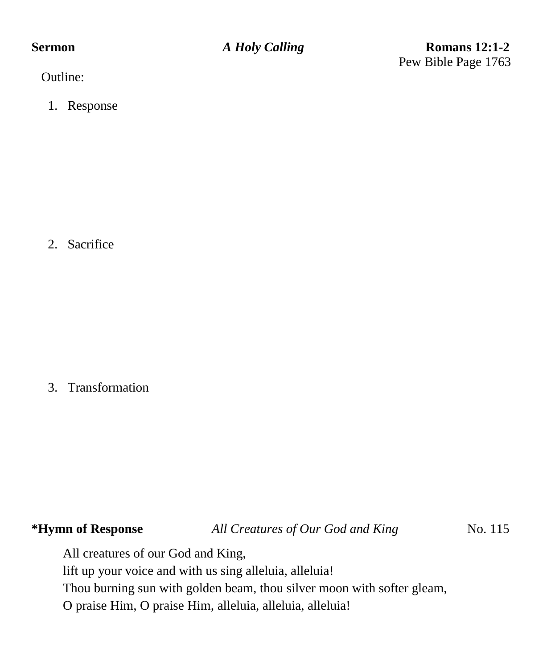**Sermon** *A Holy Calling* **Romans 12:1-2** Pew Bible Page 1763

Outline:

1. Response

2. Sacrifice

3. Transformation

**\*Hymn of Response** *All Creatures of Our God and King* No. 115

All creatures of our God and King,

lift up your voice and with us sing alleluia, alleluia!

Thou burning sun with golden beam, thou silver moon with softer gleam,

O praise Him, O praise Him, alleluia, alleluia, alleluia!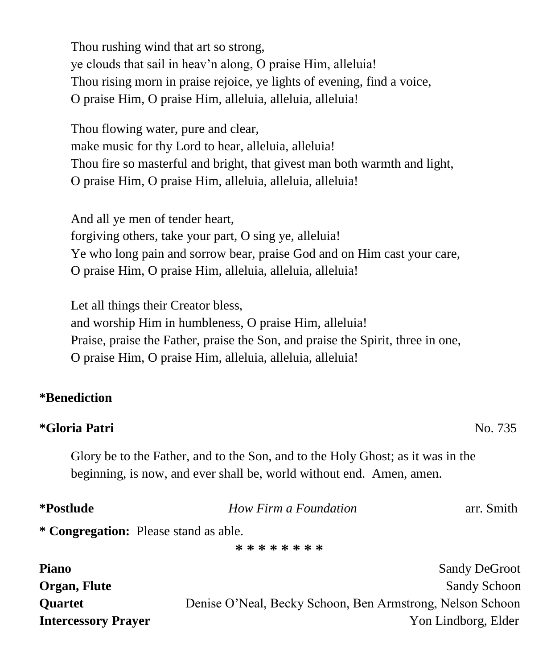Thou rushing wind that art so strong, ye clouds that sail in heav'n along, O praise Him, alleluia! Thou rising morn in praise rejoice, ye lights of evening, find a voice, O praise Him, O praise Him, alleluia, alleluia, alleluia!

Thou flowing water, pure and clear, make music for thy Lord to hear, alleluia, alleluia! Thou fire so masterful and bright, that givest man both warmth and light, O praise Him, O praise Him, alleluia, alleluia, alleluia!

And all ye men of tender heart, forgiving others, take your part, O sing ye, alleluia! Ye who long pain and sorrow bear, praise God and on Him cast your care, O praise Him, O praise Him, alleluia, alleluia, alleluia!

Let all things their Creator bless, and worship Him in humbleness, O praise Him, alleluia! Praise, praise the Father, praise the Son, and praise the Spirit, three in one, O praise Him, O praise Him, alleluia, alleluia, alleluia!

#### **\*Benediction**

#### **\*Gloria Patri** No. 735

Glory be to the Father, and to the Son, and to the Holy Ghost; as it was in the beginning, is now, and ever shall be, world without end. Amen, amen.

| *Postlude | How Firm a Foundation | arr. Smith |
|-----------|-----------------------|------------|
|           |                       |            |

**\* Congregation:** Please stand as able.

**\* \* \* \* \* \* \* \***

| <b>Piano</b>               | <b>Sandy DeGroot</b>                                      |
|----------------------------|-----------------------------------------------------------|
| Organ, Flute               | <b>Sandy Schoon</b>                                       |
| <b>Ouartet</b>             | Denise O'Neal, Becky Schoon, Ben Armstrong, Nelson Schoon |
| <b>Intercessory Prayer</b> | Yon Lindborg, Elder                                       |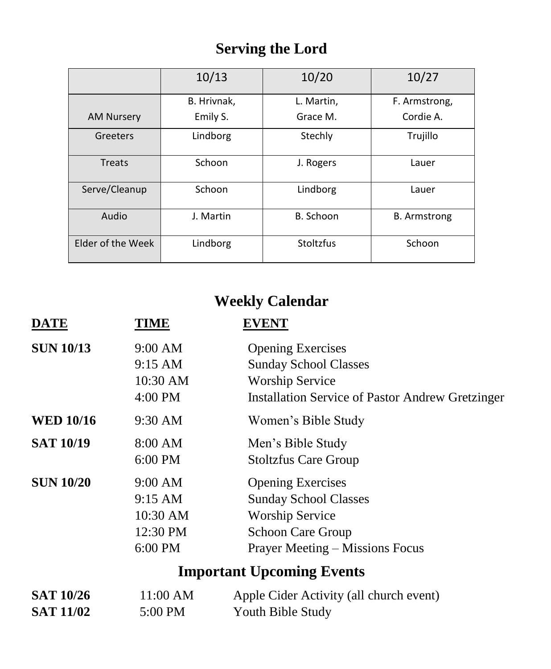# **Serving the Lord**

|                   | 10/13       | 10/20      | 10/27               |
|-------------------|-------------|------------|---------------------|
|                   | B. Hrivnak. | L. Martin, | F. Armstrong,       |
| <b>AM Nursery</b> | Emily S.    | Grace M.   | Cordie A.           |
| Greeters          | Lindborg    | Stechly    | Trujillo            |
| <b>Treats</b>     | Schoon      | J. Rogers  | Lauer               |
| Serve/Cleanup     | Schoon      | Lindborg   | Lauer               |
| Audio             | J. Martin   | B. Schoon  | <b>B.</b> Armstrong |
| Elder of the Week | Lindborg    | Stoltzfus  | Schoon              |

# **Weekly Calendar**

| <b>DATE</b>                          | TIME                                                  | <b>EVENT</b>                                                                                                                                             |
|--------------------------------------|-------------------------------------------------------|----------------------------------------------------------------------------------------------------------------------------------------------------------|
| <b>SUN 10/13</b>                     | 9:00 AM<br>9:15 AM<br>10:30 AM<br>4:00 PM             | <b>Opening Exercises</b><br><b>Sunday School Classes</b><br><b>Worship Service</b><br><b>Installation Service of Pastor Andrew Gretzinger</b>            |
| <b>WED 10/16</b>                     | 9:30 AM                                               | Women's Bible Study                                                                                                                                      |
| <b>SAT 10/19</b>                     | 8:00 AM<br>6:00 PM                                    | Men's Bible Study<br><b>Stoltzfus Care Group</b>                                                                                                         |
| <b>SUN 10/20</b>                     | 9:00 AM<br>9:15 AM<br>10:30 AM<br>12:30 PM<br>6:00 PM | <b>Opening Exercises</b><br><b>Sunday School Classes</b><br><b>Worship Service</b><br><b>Schoon Care Group</b><br><b>Prayer Meeting – Missions Focus</b> |
|                                      |                                                       | <b>Important Upcoming Events</b>                                                                                                                         |
| <b>SAT 10/26</b><br><b>SAT 11/02</b> | 11:00 AM<br>5:00 PM                                   | Apple Cider Activity (all church event)<br>Youth Bible Study                                                                                             |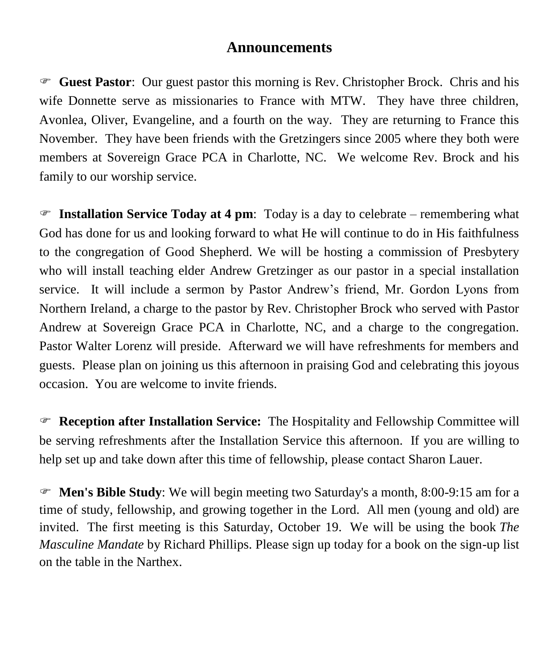### **Announcements**

 **Guest Pastor**: Our guest pastor this morning is Rev. Christopher Brock. Chris and his wife Donnette serve as missionaries to France with MTW. They have three children, Avonlea, Oliver, Evangeline, and a fourth on the way. They are returning to France this November. They have been friends with the Gretzingers since 2005 where they both were members at Sovereign Grace PCA in Charlotte, NC. We welcome Rev. Brock and his family to our worship service.

 **Installation Service Today at 4 pm**: Today is a day to celebrate – remembering what God has done for us and looking forward to what He will continue to do in His faithfulness to the congregation of Good Shepherd. We will be hosting a commission of Presbytery who will install teaching elder Andrew Gretzinger as our pastor in a special installation service. It will include a sermon by Pastor Andrew's friend, Mr. Gordon Lyons from Northern Ireland, a charge to the pastor by Rev. Christopher Brock who served with Pastor Andrew at Sovereign Grace PCA in Charlotte, NC, and a charge to the congregation. Pastor Walter Lorenz will preside. Afterward we will have refreshments for members and guests. Please plan on joining us this afternoon in praising God and celebrating this joyous occasion. You are welcome to invite friends.

 **Reception after Installation Service:** The Hospitality and Fellowship Committee will be serving refreshments after the Installation Service this afternoon. If you are willing to help set up and take down after this time of fellowship, please contact Sharon Lauer.

 **Men's Bible Study**: We will begin meeting two Saturday's a month, 8:00-9:15 am for a time of study, fellowship, and growing together in the Lord. All men (young and old) are invited. The first meeting is this Saturday, October 19. We will be using the book *The Masculine Mandate* by Richard Phillips. Please sign up today for a book on the sign-up list on the table in the Narthex.